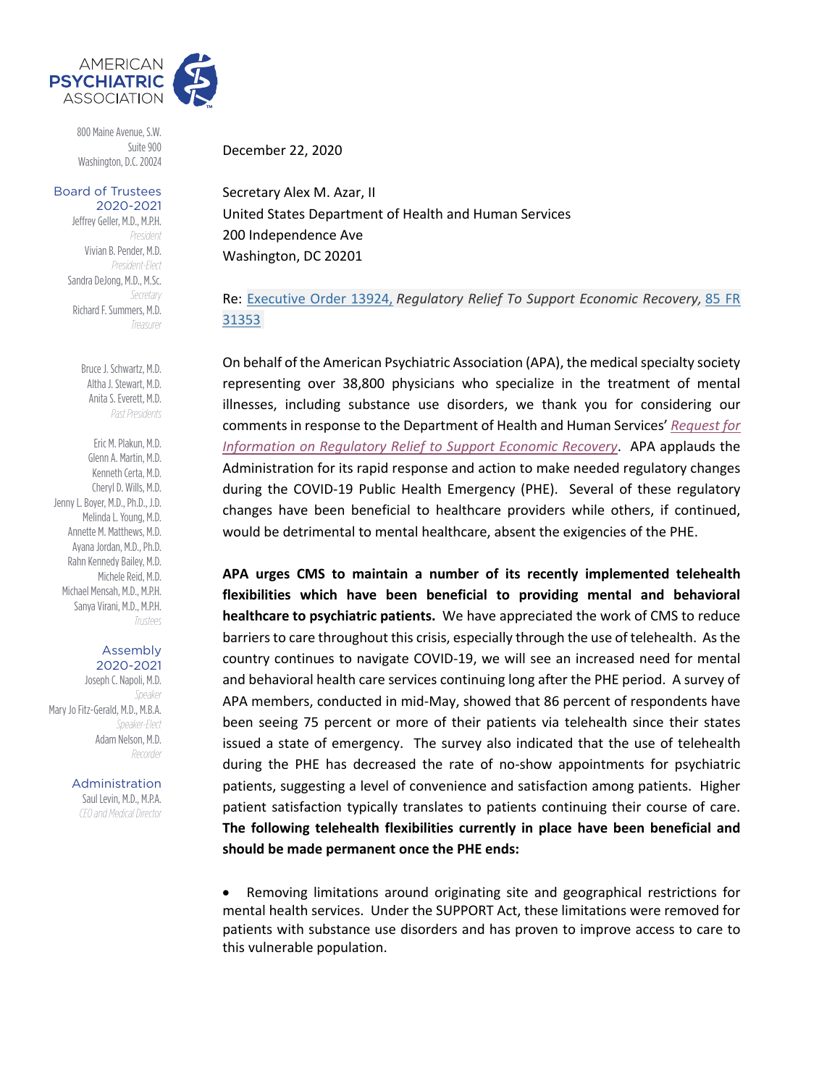

800 Maine Avenue, S.W. Suite 900 Washington, D.C. 20024

## Board of Trustees 2020-2021

Jeffrey Geller, M.D., M.P.H. *President* Vivian B. Pender, M.D. *President-Elect* Sandra DeJong, M.D., M.Sc. *Secretary* Richard F. Summers, M.D. *Treasurer*

> Bruce J. Schwartz, M.D. Altha J. Stewart, M.D. Anita S. Everett, M.D. *Past Presidents*

Eric M. Plakun, M.D. Glenn A. Martin, M.D. Kenneth Certa, M.D. Cheryl D. Wills, M.D. Jenny L. Boyer, M.D., Ph.D., J.D. Melinda L. Young, M.D. Annette M. Matthews, M.D. Ayana Jordan, M.D., Ph.D. Rahn Kennedy Bailey, M.D. Michele Reid, M.D. Michael Mensah, M.D., M.P.H. Sanya Virani, M.D., M.P.H. *Trustees*

## Assembly 2020-2021

Joseph C. Napoli, M.D. *Speaker* Mary Jo Fitz-Gerald, M.D., M.B.A. *Speaker-Elect* Adam Nelson, M.D. *Recorder*

Administration

Saul Levin, M.D., M.P.A. *CEO and Medical Director* December 22, 2020

Secretary Alex M. Azar, II United States Department of Health and Human Services 200 Independence Ave Washington, DC 20201

Re: Executive Order 13924, *Regulatory Relief To Support Economic Recovery,* 85 FR 31353

On behalf of the American Psychiatric Association (APA), the medical specialty society representing over 38,800 physicians who specialize in the treatment of mental illnesses, including substance use disorders, we thank you for considering our comments in response to the Department of Health and Human Services' *Request for Information on Regulatory Relief to Support Economic Recovery*. APA applauds the Administration for its rapid response and action to make needed regulatory changes during the COVID-19 Public Health Emergency (PHE). Several of these regulatory changes have been beneficial to healthcare providers while others, if continued, would be detrimental to mental healthcare, absent the exigencies of the PHE.

**APA urges CMS to maintain a number of its recently implemented telehealth flexibilities which have been beneficial to providing mental and behavioral healthcare to psychiatric patients.** We have appreciated the work of CMS to reduce barriers to care throughout this crisis, especially through the use of telehealth. As the country continues to navigate COVID-19, we will see an increased need for mental and behavioral health care services continuing long after the PHE period. A survey of APA members, conducted in mid-May, showed that 86 percent of respondents have been seeing 75 percent or more of their patients via telehealth since their states issued a state of emergency. The survey also indicated that the use of telehealth during the PHE has decreased the rate of no-show appointments for psychiatric patients, suggesting a level of convenience and satisfaction among patients. Higher patient satisfaction typically translates to patients continuing their course of care. **The following telehealth flexibilities currently in place have been beneficial and should be made permanent once the PHE ends:**

• Removing limitations around originating site and geographical restrictions for mental health services. Under the SUPPORT Act, these limitations were removed for patients with substance use disorders and has proven to improve access to care to this vulnerable population.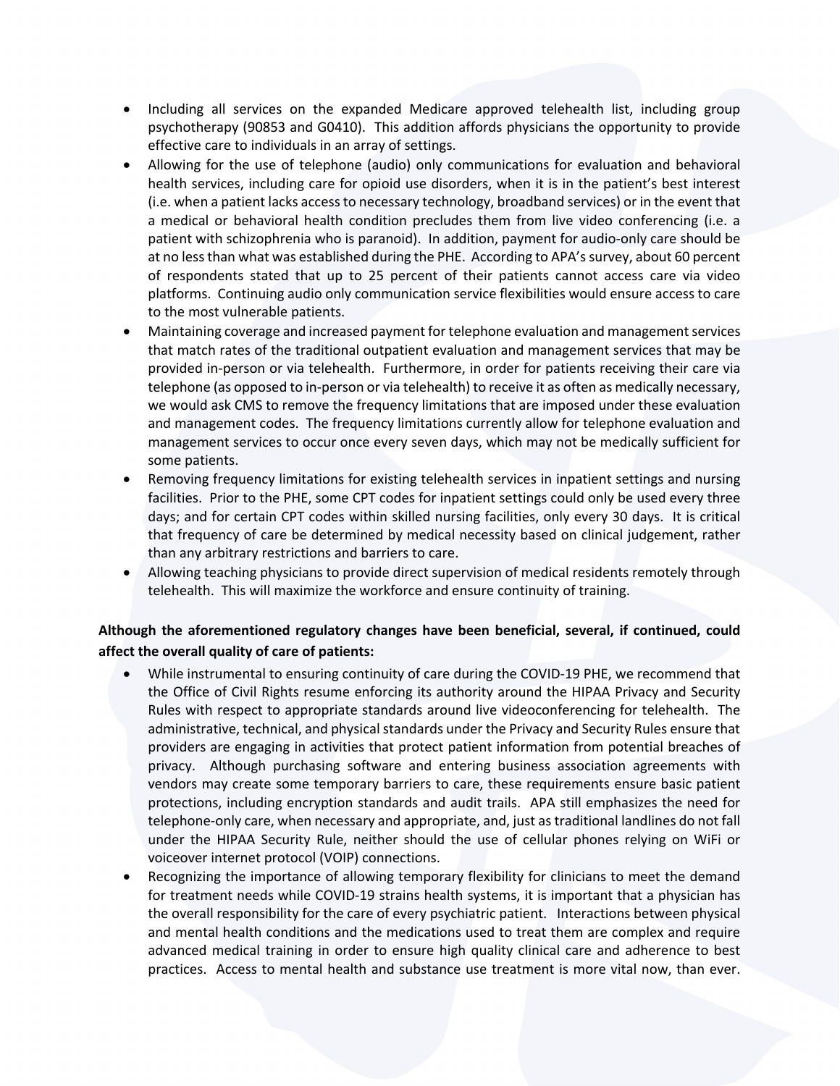- Including all services on the expanded Medicare approved telehealth list, including group psychotherapy (90853 and G0410). This addition affords physicians the opportunity to provide effective care to individuals in an array of settings.
- Allowing for the use of telephone (audio) only communications for evaluation and behavioral health services, including care for opioid use disorders, when it is in the patient's best interest (i.e. when a patient lacks access to necessary technology, broadband services) or in the event that a medical or behavioral health condition precludes them from live video conferencing (i.e. a patient with schizophrenia who is paranoid). In addition, payment for audio-only care should be at no less than what was established during the PHE. According to APA's survey, about 60 percent of respondents stated that up to 25 percent of their patients cannot access care via video platforms. Continuing audio only communication service flexibilities would ensure access to care to the most vulnerable patients.
- Maintaining coverage and increased payment for telephone evaluation and management services that match rates of the traditional outpatient evaluation and management services that may be provided in-person or via telehealth. Furthermore, in order for patients receiving their care via telephone (as opposed to in-person or via telehealth) to receive it as often as medically necessary, we would ask CMS to remove the frequency limitations that are imposed under these evaluation and management codes. The frequency limitations currently allow for telephone evaluation and management services to occur once every seven days, which may not be medically sufficient for some patients.
- Removing frequency limitations for existing telehealth services in inpatient settings and nursing facilities. Prior to the PHE, some CPT codes for inpatient settings could only be used every three days; and for certain CPT codes within skilled nursing facilities, only every 30 days. It is critical that frequency of care be determined by medical necessity based on clinical judgement, rather than any arbitrary restrictions and barriers to care.
- Allowing teaching physicians to provide direct supervision of medical residents remotely through telehealth. This will maximize the workforce and ensure continuity of training.

## **Although the aforementioned regulatory changes have been beneficial, several, if continued, could affect the overall quality of care of patients:**

- While instrumental to ensuring continuity of care during the COVID-19 PHE, we recommend that the Office of Civil Rights resume enforcing its authority around the HIPAA Privacy and Security Rules with respect to appropriate standards around live videoconferencing for telehealth. The administrative, technical, and physical standards under the Privacy and Security Rules ensure that providers are engaging in activities that protect patient information from potential breaches of privacy. Although purchasing software and entering business association agreements with vendors may create some temporary barriers to care, these requirements ensure basic patient protections, including encryption standards and audit trails. APA still emphasizes the need for telephone-only care, when necessary and appropriate, and, just as traditional landlines do not fall under the HIPAA Security Rule, neither should the use of cellular phones relying on WiFi or voiceover internet protocol (VOIP) connections.
- Recognizing the importance of allowing temporary flexibility for clinicians to meet the demand for treatment needs while COVID-19 strains health systems, it is important that a physician has the overall responsibility for the care of every psychiatric patient. Interactions between physical and mental health conditions and the medications used to treat them are complex and require advanced medical training in order to ensure high quality clinical care and adherence to best practices. Access to mental health and substance use treatment is more vital now, than ever.